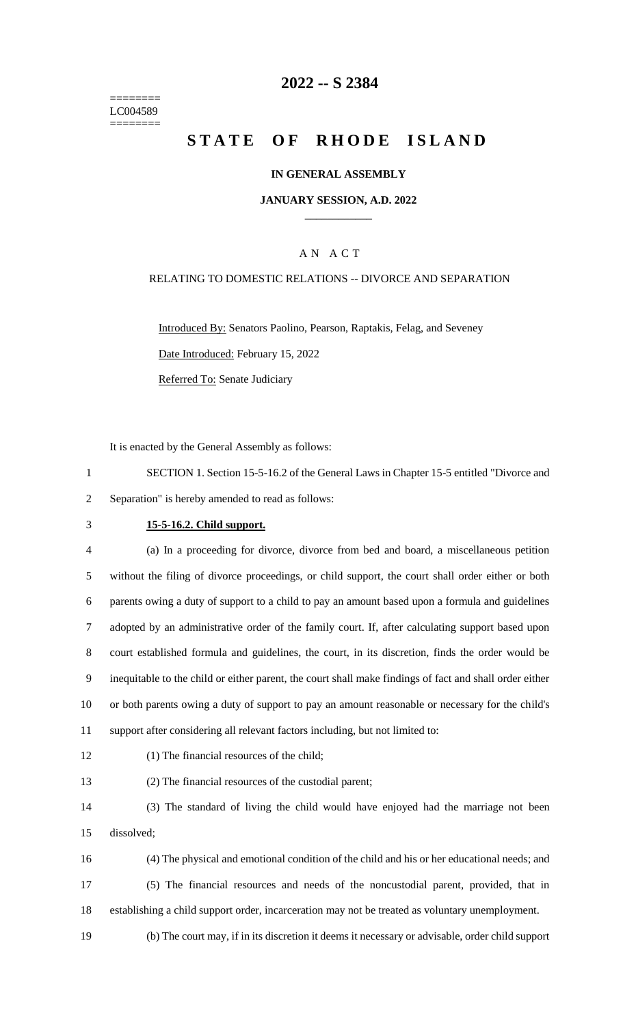======== LC004589 ========

## **-- S 2384**

## **STATE OF RHODE ISLAND**

#### **IN GENERAL ASSEMBLY**

#### **JANUARY SESSION, A.D. 2022 \_\_\_\_\_\_\_\_\_\_\_\_**

## A N A C T

#### RELATING TO DOMESTIC RELATIONS -- DIVORCE AND SEPARATION

Introduced By: Senators Paolino, Pearson, Raptakis, Felag, and Seveney Date Introduced: February 15, 2022 Referred To: Senate Judiciary

It is enacted by the General Assembly as follows:

- SECTION 1. Section 15-5-16.2 of the General Laws in Chapter 15-5 entitled "Divorce and Separation" is hereby amended to read as follows:
- 

#### **15-5-16.2. Child support.**

 (a) In a proceeding for divorce, divorce from bed and board, a miscellaneous petition without the filing of divorce proceedings, or child support, the court shall order either or both parents owing a duty of support to a child to pay an amount based upon a formula and guidelines adopted by an administrative order of the family court. If, after calculating support based upon court established formula and guidelines, the court, in its discretion, finds the order would be inequitable to the child or either parent, the court shall make findings of fact and shall order either or both parents owing a duty of support to pay an amount reasonable or necessary for the child's support after considering all relevant factors including, but not limited to:

(1) The financial resources of the child;

(2) The financial resources of the custodial parent;

 (3) The standard of living the child would have enjoyed had the marriage not been dissolved;

- (4) The physical and emotional condition of the child and his or her educational needs; and (5) The financial resources and needs of the noncustodial parent, provided, that in establishing a child support order, incarceration may not be treated as voluntary unemployment.
- (b) The court may, if in its discretion it deems it necessary or advisable, order child support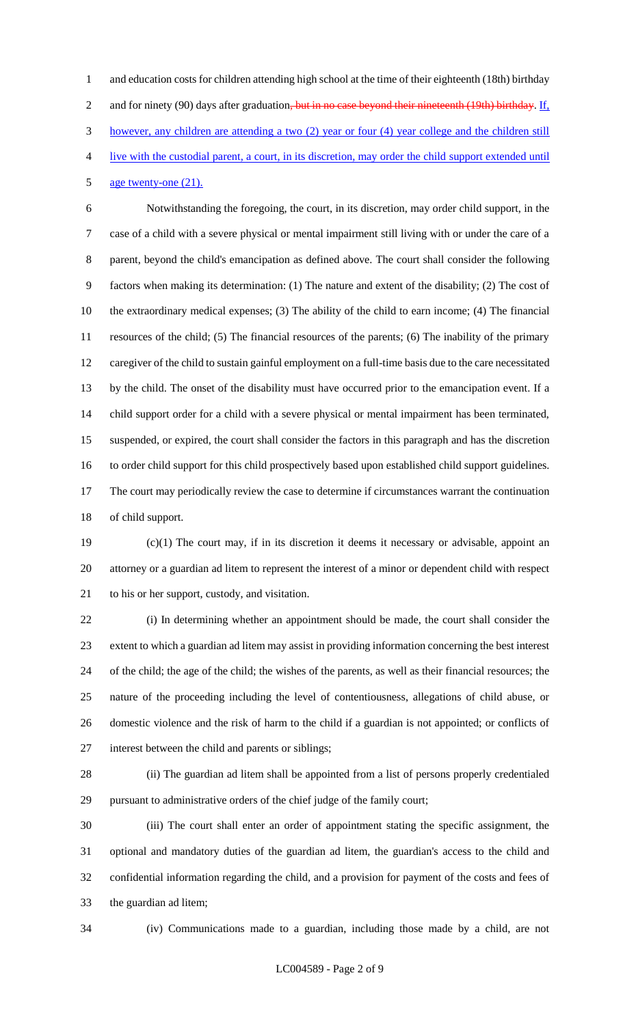1 and education costs for children attending high school at the time of their eighteenth (18th) birthday 2 and for ninety (90) days after graduation<del>, but in no case beyond their nineteenth (19th) birthday</del>. If, however, any children are attending a two (2) year or four (4) year college and the children still live with the custodial parent, a court, in its discretion, may order the child support extended until

## age twenty-one (21).

 Notwithstanding the foregoing, the court, in its discretion, may order child support, in the case of a child with a severe physical or mental impairment still living with or under the care of a parent, beyond the child's emancipation as defined above. The court shall consider the following factors when making its determination: (1) The nature and extent of the disability; (2) The cost of the extraordinary medical expenses; (3) The ability of the child to earn income; (4) The financial resources of the child; (5) The financial resources of the parents; (6) The inability of the primary caregiver of the child to sustain gainful employment on a full-time basis due to the care necessitated by the child. The onset of the disability must have occurred prior to the emancipation event. If a child support order for a child with a severe physical or mental impairment has been terminated, suspended, or expired, the court shall consider the factors in this paragraph and has the discretion to order child support for this child prospectively based upon established child support guidelines. The court may periodically review the case to determine if circumstances warrant the continuation of child support.

 (c)(1) The court may, if in its discretion it deems it necessary or advisable, appoint an attorney or a guardian ad litem to represent the interest of a minor or dependent child with respect to his or her support, custody, and visitation.

 (i) In determining whether an appointment should be made, the court shall consider the extent to which a guardian ad litem may assist in providing information concerning the best interest of the child; the age of the child; the wishes of the parents, as well as their financial resources; the nature of the proceeding including the level of contentiousness, allegations of child abuse, or domestic violence and the risk of harm to the child if a guardian is not appointed; or conflicts of interest between the child and parents or siblings;

 (ii) The guardian ad litem shall be appointed from a list of persons properly credentialed pursuant to administrative orders of the chief judge of the family court;

 (iii) The court shall enter an order of appointment stating the specific assignment, the optional and mandatory duties of the guardian ad litem, the guardian's access to the child and confidential information regarding the child, and a provision for payment of the costs and fees of the guardian ad litem;

(iv) Communications made to a guardian, including those made by a child, are not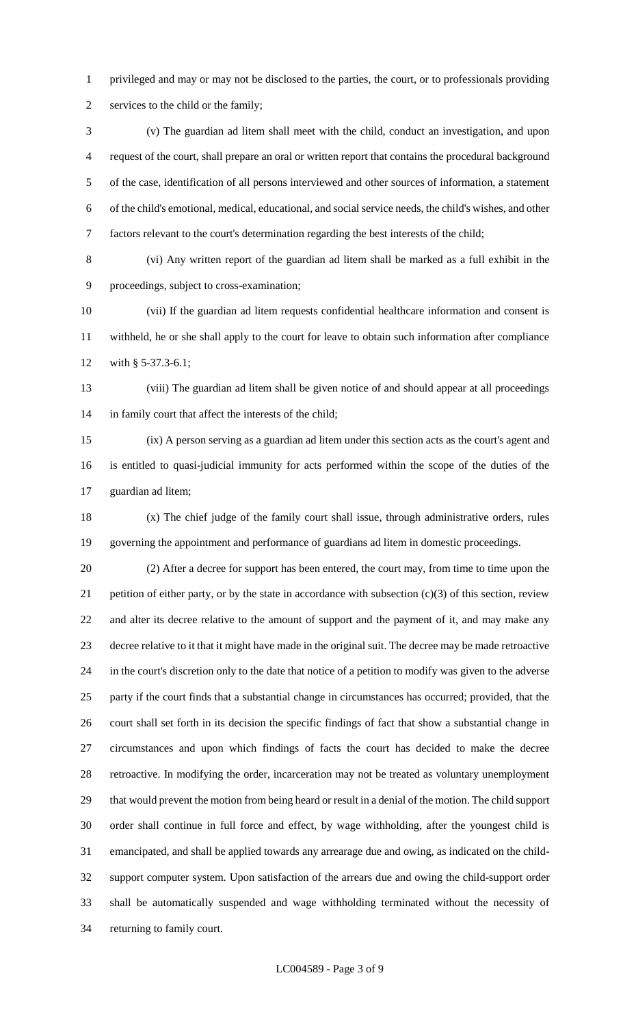privileged and may or may not be disclosed to the parties, the court, or to professionals providing services to the child or the family;

 (v) The guardian ad litem shall meet with the child, conduct an investigation, and upon request of the court, shall prepare an oral or written report that contains the procedural background of the case, identification of all persons interviewed and other sources of information, a statement of the child's emotional, medical, educational, and social service needs, the child's wishes, and other factors relevant to the court's determination regarding the best interests of the child;

 (vi) Any written report of the guardian ad litem shall be marked as a full exhibit in the proceedings, subject to cross-examination;

 (vii) If the guardian ad litem requests confidential healthcare information and consent is withheld, he or she shall apply to the court for leave to obtain such information after compliance 12 with § 5-37.3-6.1;

 (viii) The guardian ad litem shall be given notice of and should appear at all proceedings in family court that affect the interests of the child;

 (ix) A person serving as a guardian ad litem under this section acts as the court's agent and is entitled to quasi-judicial immunity for acts performed within the scope of the duties of the guardian ad litem;

 (x) The chief judge of the family court shall issue, through administrative orders, rules governing the appointment and performance of guardians ad litem in domestic proceedings.

 (2) After a decree for support has been entered, the court may, from time to time upon the 21 petition of either party, or by the state in accordance with subsection  $(c)(3)$  of this section, review and alter its decree relative to the amount of support and the payment of it, and may make any decree relative to it that it might have made in the original suit. The decree may be made retroactive in the court's discretion only to the date that notice of a petition to modify was given to the adverse party if the court finds that a substantial change in circumstances has occurred; provided, that the court shall set forth in its decision the specific findings of fact that show a substantial change in circumstances and upon which findings of facts the court has decided to make the decree retroactive. In modifying the order, incarceration may not be treated as voluntary unemployment that would prevent the motion from being heard or result in a denial of the motion. The child support order shall continue in full force and effect, by wage withholding, after the youngest child is emancipated, and shall be applied towards any arrearage due and owing, as indicated on the child- support computer system. Upon satisfaction of the arrears due and owing the child-support order shall be automatically suspended and wage withholding terminated without the necessity of returning to family court.

#### LC004589 - Page 3 of 9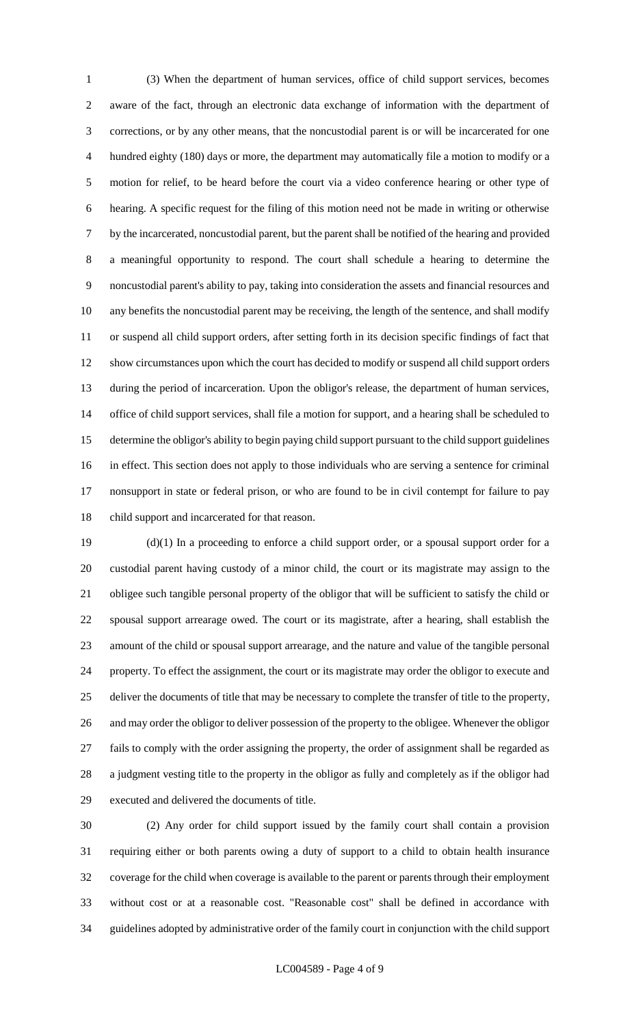(3) When the department of human services, office of child support services, becomes aware of the fact, through an electronic data exchange of information with the department of corrections, or by any other means, that the noncustodial parent is or will be incarcerated for one hundred eighty (180) days or more, the department may automatically file a motion to modify or a motion for relief, to be heard before the court via a video conference hearing or other type of hearing. A specific request for the filing of this motion need not be made in writing or otherwise by the incarcerated, noncustodial parent, but the parent shall be notified of the hearing and provided a meaningful opportunity to respond. The court shall schedule a hearing to determine the noncustodial parent's ability to pay, taking into consideration the assets and financial resources and any benefits the noncustodial parent may be receiving, the length of the sentence, and shall modify or suspend all child support orders, after setting forth in its decision specific findings of fact that show circumstances upon which the court has decided to modify or suspend all child support orders during the period of incarceration. Upon the obligor's release, the department of human services, office of child support services, shall file a motion for support, and a hearing shall be scheduled to determine the obligor's ability to begin paying child support pursuant to the child support guidelines in effect. This section does not apply to those individuals who are serving a sentence for criminal nonsupport in state or federal prison, or who are found to be in civil contempt for failure to pay child support and incarcerated for that reason.

 (d)(1) In a proceeding to enforce a child support order, or a spousal support order for a custodial parent having custody of a minor child, the court or its magistrate may assign to the obligee such tangible personal property of the obligor that will be sufficient to satisfy the child or spousal support arrearage owed. The court or its magistrate, after a hearing, shall establish the amount of the child or spousal support arrearage, and the nature and value of the tangible personal property. To effect the assignment, the court or its magistrate may order the obligor to execute and deliver the documents of title that may be necessary to complete the transfer of title to the property, and may order the obligor to deliver possession of the property to the obligee. Whenever the obligor fails to comply with the order assigning the property, the order of assignment shall be regarded as a judgment vesting title to the property in the obligor as fully and completely as if the obligor had executed and delivered the documents of title.

 (2) Any order for child support issued by the family court shall contain a provision requiring either or both parents owing a duty of support to a child to obtain health insurance coverage for the child when coverage is available to the parent or parents through their employment without cost or at a reasonable cost. "Reasonable cost" shall be defined in accordance with guidelines adopted by administrative order of the family court in conjunction with the child support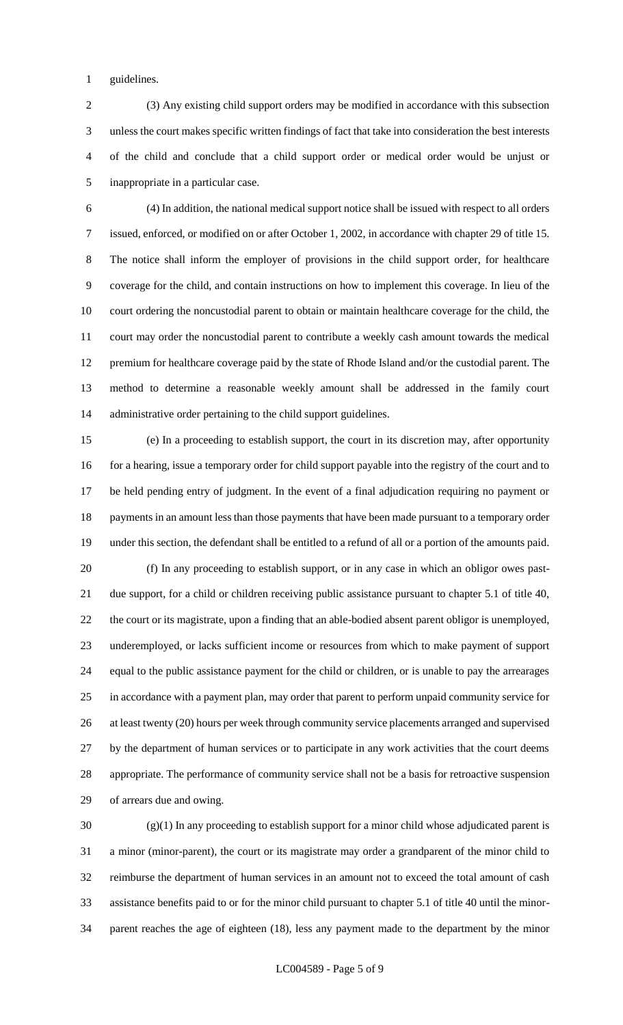guidelines.

 (3) Any existing child support orders may be modified in accordance with this subsection unless the court makes specific written findings of fact that take into consideration the best interests of the child and conclude that a child support order or medical order would be unjust or inappropriate in a particular case.

 (4) In addition, the national medical support notice shall be issued with respect to all orders issued, enforced, or modified on or after October 1, 2002, in accordance with chapter 29 of title 15. The notice shall inform the employer of provisions in the child support order, for healthcare coverage for the child, and contain instructions on how to implement this coverage. In lieu of the court ordering the noncustodial parent to obtain or maintain healthcare coverage for the child, the court may order the noncustodial parent to contribute a weekly cash amount towards the medical premium for healthcare coverage paid by the state of Rhode Island and/or the custodial parent. The method to determine a reasonable weekly amount shall be addressed in the family court administrative order pertaining to the child support guidelines.

 (e) In a proceeding to establish support, the court in its discretion may, after opportunity 16 for a hearing, issue a temporary order for child support payable into the registry of the court and to be held pending entry of judgment. In the event of a final adjudication requiring no payment or 18 payments in an amount less than those payments that have been made pursuant to a temporary order under this section, the defendant shall be entitled to a refund of all or a portion of the amounts paid. (f) In any proceeding to establish support, or in any case in which an obligor owes past- due support, for a child or children receiving public assistance pursuant to chapter 5.1 of title 40, the court or its magistrate, upon a finding that an able-bodied absent parent obligor is unemployed, underemployed, or lacks sufficient income or resources from which to make payment of support equal to the public assistance payment for the child or children, or is unable to pay the arrearages in accordance with a payment plan, may order that parent to perform unpaid community service for 26 at least twenty (20) hours per week through community service placements arranged and supervised by the department of human services or to participate in any work activities that the court deems appropriate. The performance of community service shall not be a basis for retroactive suspension of arrears due and owing.

 (g)(1) In any proceeding to establish support for a minor child whose adjudicated parent is a minor (minor-parent), the court or its magistrate may order a grandparent of the minor child to reimburse the department of human services in an amount not to exceed the total amount of cash assistance benefits paid to or for the minor child pursuant to chapter 5.1 of title 40 until the minor-parent reaches the age of eighteen (18), less any payment made to the department by the minor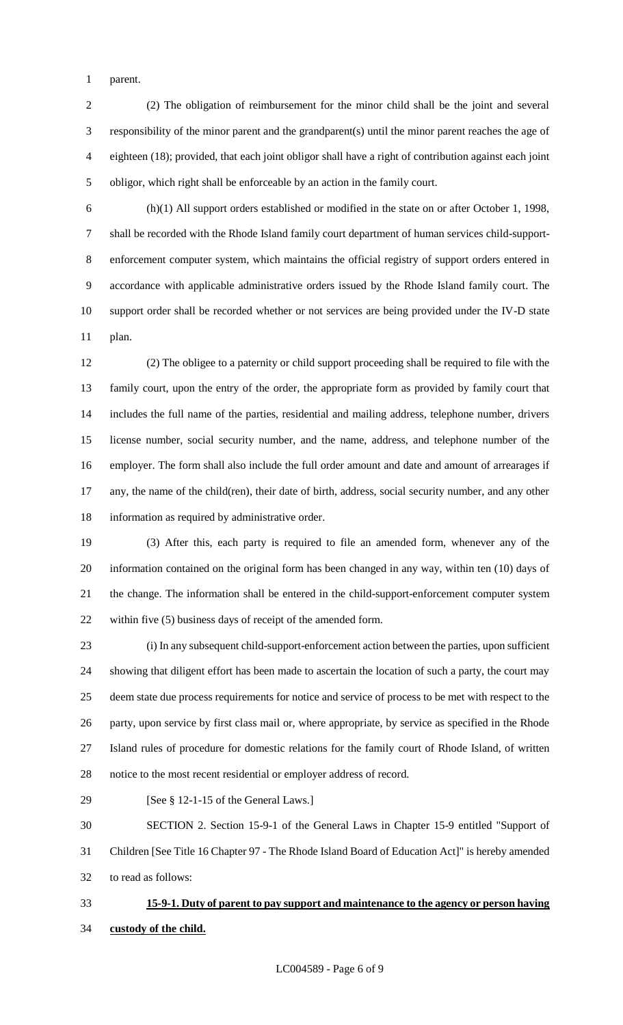parent.

 (2) The obligation of reimbursement for the minor child shall be the joint and several responsibility of the minor parent and the grandparent(s) until the minor parent reaches the age of eighteen (18); provided, that each joint obligor shall have a right of contribution against each joint obligor, which right shall be enforceable by an action in the family court.

 (h)(1) All support orders established or modified in the state on or after October 1, 1998, shall be recorded with the Rhode Island family court department of human services child-support- enforcement computer system, which maintains the official registry of support orders entered in accordance with applicable administrative orders issued by the Rhode Island family court. The support order shall be recorded whether or not services are being provided under the IV-D state plan.

 (2) The obligee to a paternity or child support proceeding shall be required to file with the family court, upon the entry of the order, the appropriate form as provided by family court that includes the full name of the parties, residential and mailing address, telephone number, drivers license number, social security number, and the name, address, and telephone number of the employer. The form shall also include the full order amount and date and amount of arrearages if any, the name of the child(ren), their date of birth, address, social security number, and any other information as required by administrative order.

 (3) After this, each party is required to file an amended form, whenever any of the information contained on the original form has been changed in any way, within ten (10) days of the change. The information shall be entered in the child-support-enforcement computer system within five (5) business days of receipt of the amended form.

 (i) In any subsequent child-support-enforcement action between the parties, upon sufficient showing that diligent effort has been made to ascertain the location of such a party, the court may deem state due process requirements for notice and service of process to be met with respect to the party, upon service by first class mail or, where appropriate, by service as specified in the Rhode Island rules of procedure for domestic relations for the family court of Rhode Island, of written notice to the most recent residential or employer address of record.

29 [See § 12-1-15 of the General Laws.]

 SECTION 2. Section 15-9-1 of the General Laws in Chapter 15-9 entitled "Support of Children [See Title 16 Chapter 97 - The Rhode Island Board of Education Act]" is hereby amended to read as follows:

# **15-9-1. Duty of parent to pay support and maintenance to the agency or person having custody of the child.**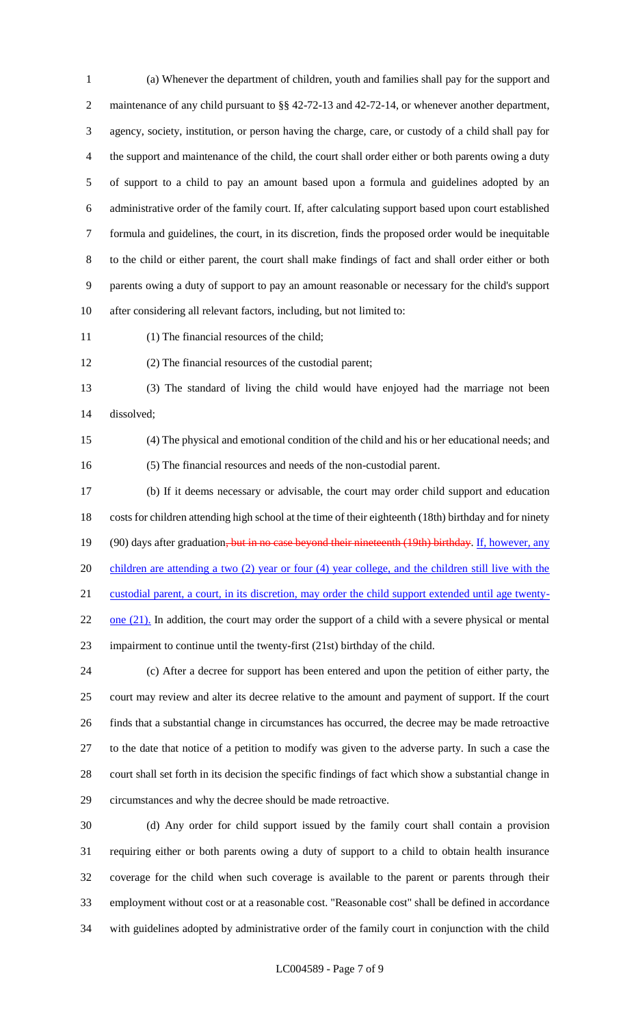(a) Whenever the department of children, youth and families shall pay for the support and maintenance of any child pursuant to §§ 42-72-13 and 42-72-14, or whenever another department, agency, society, institution, or person having the charge, care, or custody of a child shall pay for the support and maintenance of the child, the court shall order either or both parents owing a duty of support to a child to pay an amount based upon a formula and guidelines adopted by an administrative order of the family court. If, after calculating support based upon court established formula and guidelines, the court, in its discretion, finds the proposed order would be inequitable to the child or either parent, the court shall make findings of fact and shall order either or both parents owing a duty of support to pay an amount reasonable or necessary for the child's support after considering all relevant factors, including, but not limited to:

(1) The financial resources of the child;

(2) The financial resources of the custodial parent;

 (3) The standard of living the child would have enjoyed had the marriage not been dissolved;

 (4) The physical and emotional condition of the child and his or her educational needs; and (5) The financial resources and needs of the non-custodial parent.

 (b) If it deems necessary or advisable, the court may order child support and education costs for children attending high school at the time of their eighteenth (18th) birthday and for ninety 19 (90) days after graduation<del>, but in no case beyond their nineteenth (19th) birthday</del>. If, however, any children are attending a two (2) year or four (4) year college, and the children still live with the custodial parent, a court, in its discretion, may order the child support extended until age twenty- one  $(21)$ . In addition, the court may order the support of a child with a severe physical or mental impairment to continue until the twenty-first (21st) birthday of the child.

 (c) After a decree for support has been entered and upon the petition of either party, the court may review and alter its decree relative to the amount and payment of support. If the court finds that a substantial change in circumstances has occurred, the decree may be made retroactive to the date that notice of a petition to modify was given to the adverse party. In such a case the court shall set forth in its decision the specific findings of fact which show a substantial change in circumstances and why the decree should be made retroactive.

 (d) Any order for child support issued by the family court shall contain a provision requiring either or both parents owing a duty of support to a child to obtain health insurance coverage for the child when such coverage is available to the parent or parents through their employment without cost or at a reasonable cost. "Reasonable cost" shall be defined in accordance with guidelines adopted by administrative order of the family court in conjunction with the child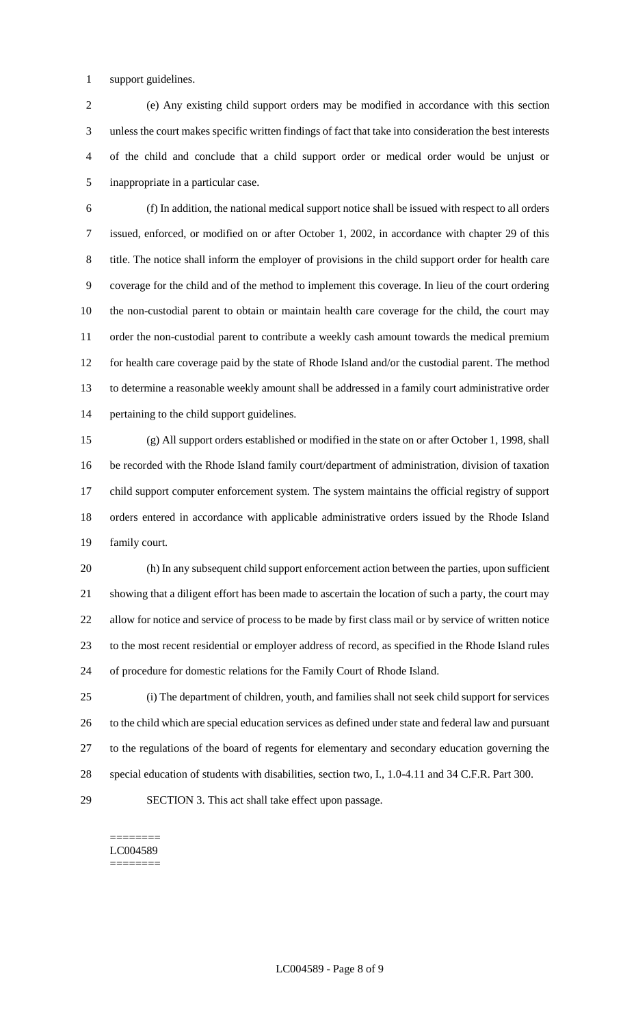support guidelines.

 (e) Any existing child support orders may be modified in accordance with this section unless the court makes specific written findings of fact that take into consideration the best interests of the child and conclude that a child support order or medical order would be unjust or inappropriate in a particular case.

 (f) In addition, the national medical support notice shall be issued with respect to all orders issued, enforced, or modified on or after October 1, 2002, in accordance with chapter 29 of this title. The notice shall inform the employer of provisions in the child support order for health care coverage for the child and of the method to implement this coverage. In lieu of the court ordering the non-custodial parent to obtain or maintain health care coverage for the child, the court may order the non-custodial parent to contribute a weekly cash amount towards the medical premium for health care coverage paid by the state of Rhode Island and/or the custodial parent. The method to determine a reasonable weekly amount shall be addressed in a family court administrative order pertaining to the child support guidelines.

 (g) All support orders established or modified in the state on or after October 1, 1998, shall be recorded with the Rhode Island family court/department of administration, division of taxation child support computer enforcement system. The system maintains the official registry of support orders entered in accordance with applicable administrative orders issued by the Rhode Island family court.

 (h) In any subsequent child support enforcement action between the parties, upon sufficient showing that a diligent effort has been made to ascertain the location of such a party, the court may allow for notice and service of process to be made by first class mail or by service of written notice to the most recent residential or employer address of record, as specified in the Rhode Island rules of procedure for domestic relations for the Family Court of Rhode Island.

 (i) The department of children, youth, and families shall not seek child support for services to the child which are special education services as defined under state and federal law and pursuant to the regulations of the board of regents for elementary and secondary education governing the special education of students with disabilities, section two, I., 1.0-4.11 and 34 C.F.R. Part 300. SECTION 3. This act shall take effect upon passage.

======== LC004589 ========